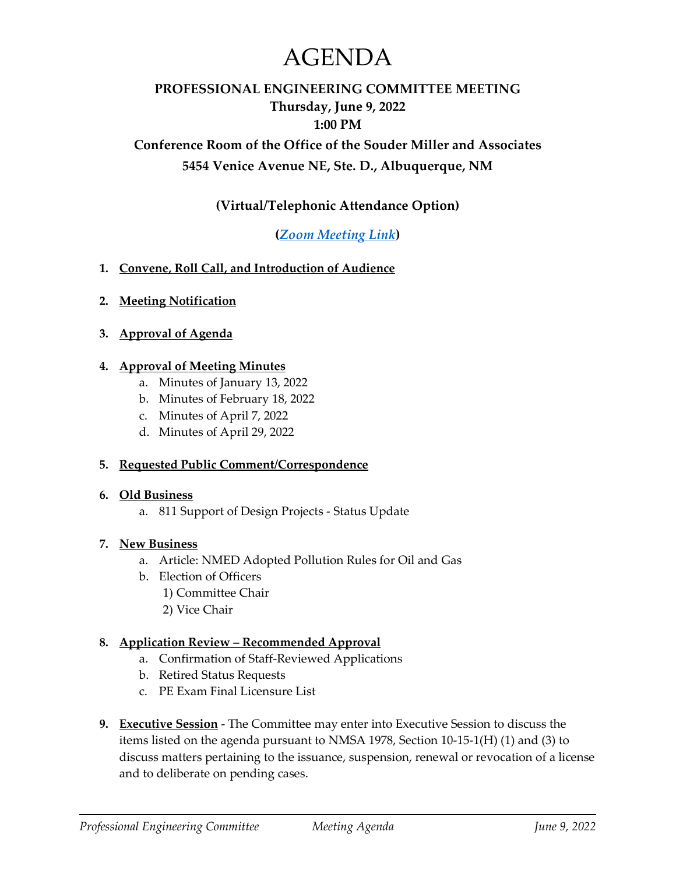# AGENDA

# **PROFESSIONAL ENGINEERING COMMITTEE MEETING Thursday, June 9, 2022 1:00 PM**

# **Conference Room of the Office of the Souder Miller and Associates 5454 Venice Avenue NE, Ste. D., Albuquerque, NM**

# **(Virtual/Telephonic Attendance Option)**

# **(***[Zoom Meeting Link](https://www.sblpes.state.nm.us/)***)**

- **1. Convene, Roll Call, and Introduction of Audience**
- **2. Meeting Notification**
- **3. Approval of Agenda**

#### **4. Approval of Meeting Minutes**

- a. Minutes of January 13, 2022
- b. Minutes of February 18, 2022
- c. Minutes of April 7, 2022
- d. Minutes of April 29, 2022

#### **5. Requested Public Comment/Correspondence**

#### **6. Old Business**

a. 811 Support of Design Projects - Status Update

#### **7. New Business**

- a. Article: NMED Adopted Pollution Rules for Oil and Gas
- b. Election of Officers
	- 1) Committee Chair
	- 2) Vice Chair

#### **8. Application Review – Recommended Approval**

- a. Confirmation of Staff-Reviewed Applications
- b. Retired Status Requests
- c. PE Exam Final Licensure List
- **9. Executive Session** The Committee may enter into Executive Session to discuss the items listed on the agenda pursuant to NMSA 1978, Section 10-15-1(H) (1) and (3) to discuss matters pertaining to the issuance, suspension, renewal or revocation of a license and to deliberate on pending cases.